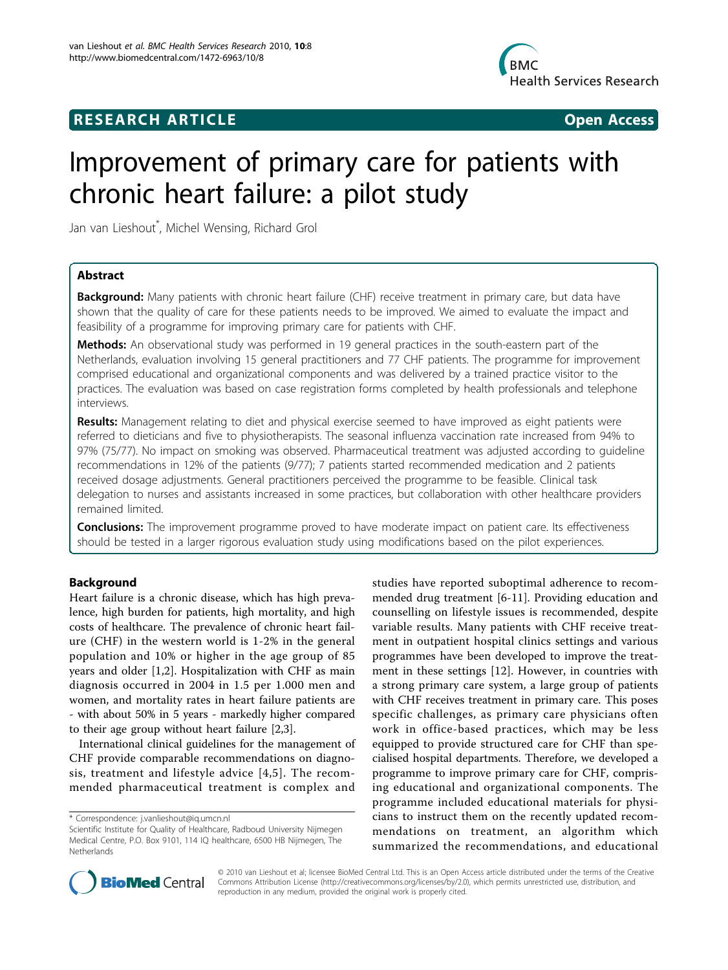## **RESEARCH ARTICLE Example 2018 CONSUMING ACCESS**



# Improvement of primary care for patients with chronic heart failure: a pilot study

Jan van Lieshout\* , Michel Wensing, Richard Grol

## Abstract

**Background:** Many patients with chronic heart failure (CHF) receive treatment in primary care, but data have shown that the quality of care for these patients needs to be improved. We aimed to evaluate the impact and feasibility of a programme for improving primary care for patients with CHF.

Methods: An observational study was performed in 19 general practices in the south-eastern part of the Netherlands, evaluation involving 15 general practitioners and 77 CHF patients. The programme for improvement comprised educational and organizational components and was delivered by a trained practice visitor to the practices. The evaluation was based on case registration forms completed by health professionals and telephone interviews.

**Results:** Management relating to diet and physical exercise seemed to have improved as eight patients were referred to dieticians and five to physiotherapists. The seasonal influenza vaccination rate increased from 94% to 97% (75/77). No impact on smoking was observed. Pharmaceutical treatment was adjusted according to guideline recommendations in 12% of the patients (9/77); 7 patients started recommended medication and 2 patients received dosage adjustments. General practitioners perceived the programme to be feasible. Clinical task delegation to nurses and assistants increased in some practices, but collaboration with other healthcare providers remained limited.

**Conclusions:** The improvement programme proved to have moderate impact on patient care. Its effectiveness should be tested in a larger rigorous evaluation study using modifications based on the pilot experiences.

## Background

Heart failure is a chronic disease, which has high prevalence, high burden for patients, high mortality, and high costs of healthcare. The prevalence of chronic heart failure (CHF) in the western world is 1-2% in the general population and 10% or higher in the age group of 85 years and older [\[1,2](#page-6-0)]. Hospitalization with CHF as main diagnosis occurred in 2004 in 1.5 per 1.000 men and women, and mortality rates in heart failure patients are - with about 50% in 5 years - markedly higher compared to their age group without heart failure [[2,3\]](#page-6-0).

International clinical guidelines for the management of CHF provide comparable recommendations on diagnosis, treatment and lifestyle advice [[4](#page-6-0),[5](#page-6-0)]. The recommended pharmaceutical treatment is complex and

studies have reported suboptimal adherence to recommended drug treatment [\[6-11](#page-6-0)]. Providing education and counselling on lifestyle issues is recommended, despite variable results. Many patients with CHF receive treatment in outpatient hospital clinics settings and various programmes have been developed to improve the treatment in these settings [[12\]](#page-6-0). However, in countries with a strong primary care system, a large group of patients with CHF receives treatment in primary care. This poses specific challenges, as primary care physicians often work in office-based practices, which may be less equipped to provide structured care for CHF than specialised hospital departments. Therefore, we developed a programme to improve primary care for CHF, comprising educational and organizational components. The programme included educational materials for physicians to instruct them on the recently updated recommendations on treatment, an algorithm which summarized the recommendations, and educational



© 2010 van Lieshout et al; licensee BioMed Central Ltd. This is an Open Access article distributed under the terms of the Creative Commons Attribution License (http://creativecommons.org/licenses/by/2.0), which permits unrestricted use, distribution, and reproduction in any medium, provided the original work is properly cited.

<sup>\*</sup> Correspondence: j.vanlieshout@iq.umcn.nl

Scientific Institute for Quality of Healthcare, Radboud University Nijmegen Medical Centre, P.O. Box 9101, 114 IQ healthcare, 6500 HB Nijmegen, The Netherlands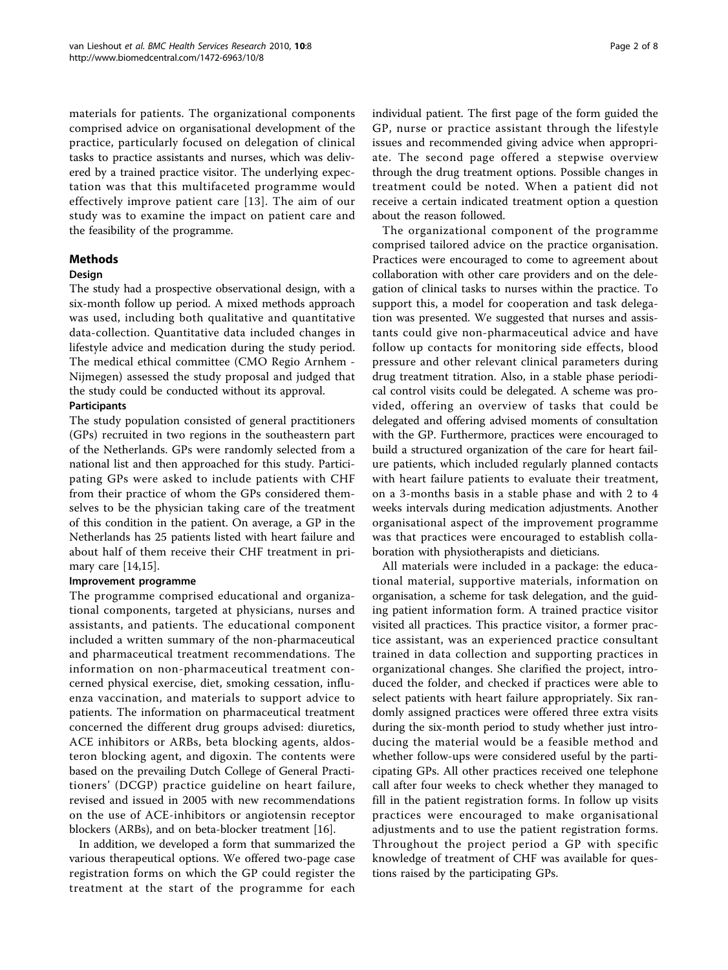materials for patients. The organizational components comprised advice on organisational development of the practice, particularly focused on delegation of clinical tasks to practice assistants and nurses, which was delivered by a trained practice visitor. The underlying expectation was that this multifaceted programme would effectively improve patient care [[13\]](#page-6-0). The aim of our study was to examine the impact on patient care and the feasibility of the programme.

## Methods

## Design

The study had a prospective observational design, with a six-month follow up period. A mixed methods approach was used, including both qualitative and quantitative data-collection. Quantitative data included changes in lifestyle advice and medication during the study period. The medical ethical committee (CMO Regio Arnhem - Nijmegen) assessed the study proposal and judged that the study could be conducted without its approval.

## Participants

The study population consisted of general practitioners (GPs) recruited in two regions in the southeastern part of the Netherlands. GPs were randomly selected from a national list and then approached for this study. Participating GPs were asked to include patients with CHF from their practice of whom the GPs considered themselves to be the physician taking care of the treatment of this condition in the patient. On average, a GP in the Netherlands has 25 patients listed with heart failure and about half of them receive their CHF treatment in primary care [[14](#page-6-0),[15](#page-6-0)].

## Improvement programme

The programme comprised educational and organizational components, targeted at physicians, nurses and assistants, and patients. The educational component included a written summary of the non-pharmaceutical and pharmaceutical treatment recommendations. The information on non-pharmaceutical treatment concerned physical exercise, diet, smoking cessation, influenza vaccination, and materials to support advice to patients. The information on pharmaceutical treatment concerned the different drug groups advised: diuretics, ACE inhibitors or ARBs, beta blocking agents, aldosteron blocking agent, and digoxin. The contents were based on the prevailing Dutch College of General Practitioners' (DCGP) practice guideline on heart failure, revised and issued in 2005 with new recommendations on the use of ACE-inhibitors or angiotensin receptor blockers (ARBs), and on beta-blocker treatment [[16\]](#page-6-0).

In addition, we developed a form that summarized the various therapeutical options. We offered two-page case registration forms on which the GP could register the treatment at the start of the programme for each individual patient. The first page of the form guided the GP, nurse or practice assistant through the lifestyle issues and recommended giving advice when appropriate. The second page offered a stepwise overview through the drug treatment options. Possible changes in treatment could be noted. When a patient did not receive a certain indicated treatment option a question about the reason followed.

The organizational component of the programme comprised tailored advice on the practice organisation. Practices were encouraged to come to agreement about collaboration with other care providers and on the delegation of clinical tasks to nurses within the practice. To support this, a model for cooperation and task delegation was presented. We suggested that nurses and assistants could give non-pharmaceutical advice and have follow up contacts for monitoring side effects, blood pressure and other relevant clinical parameters during drug treatment titration. Also, in a stable phase periodical control visits could be delegated. A scheme was provided, offering an overview of tasks that could be delegated and offering advised moments of consultation with the GP. Furthermore, practices were encouraged to build a structured organization of the care for heart failure patients, which included regularly planned contacts with heart failure patients to evaluate their treatment, on a 3-months basis in a stable phase and with 2 to 4 weeks intervals during medication adjustments. Another organisational aspect of the improvement programme was that practices were encouraged to establish collaboration with physiotherapists and dieticians.

All materials were included in a package: the educational material, supportive materials, information on organisation, a scheme for task delegation, and the guiding patient information form. A trained practice visitor visited all practices. This practice visitor, a former practice assistant, was an experienced practice consultant trained in data collection and supporting practices in organizational changes. She clarified the project, introduced the folder, and checked if practices were able to select patients with heart failure appropriately. Six randomly assigned practices were offered three extra visits during the six-month period to study whether just introducing the material would be a feasible method and whether follow-ups were considered useful by the participating GPs. All other practices received one telephone call after four weeks to check whether they managed to fill in the patient registration forms. In follow up visits practices were encouraged to make organisational adjustments and to use the patient registration forms. Throughout the project period a GP with specific knowledge of treatment of CHF was available for questions raised by the participating GPs.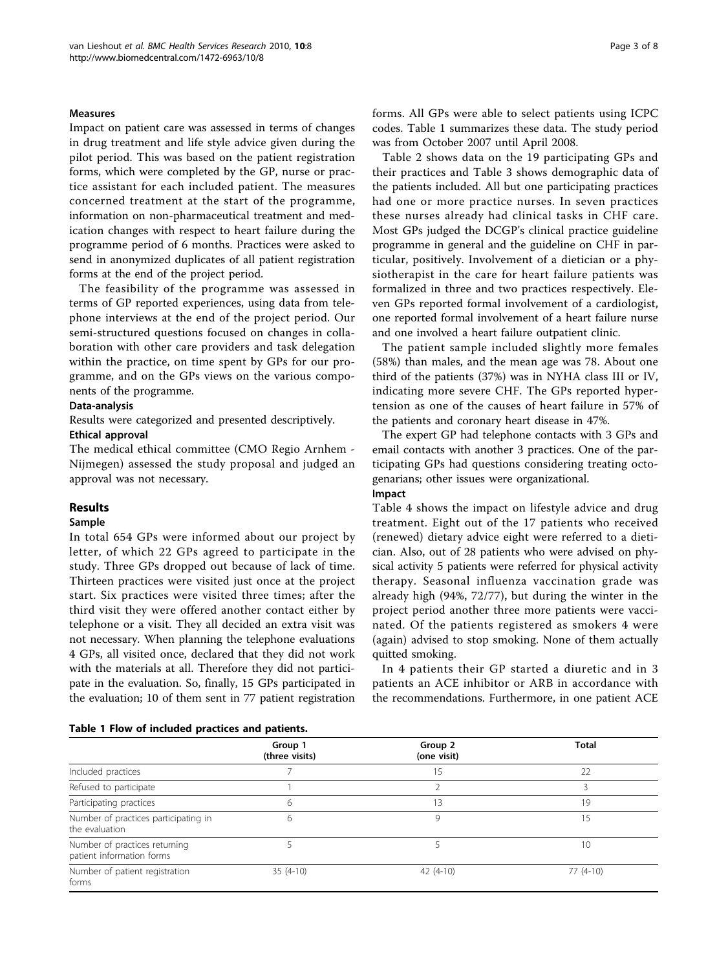### Measures

Impact on patient care was assessed in terms of changes in drug treatment and life style advice given during the pilot period. This was based on the patient registration forms, which were completed by the GP, nurse or practice assistant for each included patient. The measures concerned treatment at the start of the programme, information on non-pharmaceutical treatment and medication changes with respect to heart failure during the programme period of 6 months. Practices were asked to send in anonymized duplicates of all patient registration forms at the end of the project period.

The feasibility of the programme was assessed in terms of GP reported experiences, using data from telephone interviews at the end of the project period. Our semi-structured questions focused on changes in collaboration with other care providers and task delegation within the practice, on time spent by GPs for our programme, and on the GPs views on the various components of the programme.

#### Data-analysis

Results were categorized and presented descriptively.

## Ethical approval

The medical ethical committee (CMO Regio Arnhem - Nijmegen) assessed the study proposal and judged an approval was not necessary.

## Results

## Sample

In total 654 GPs were informed about our project by letter, of which 22 GPs agreed to participate in the study. Three GPs dropped out because of lack of time. Thirteen practices were visited just once at the project start. Six practices were visited three times; after the third visit they were offered another contact either by telephone or a visit. They all decided an extra visit was not necessary. When planning the telephone evaluations 4 GPs, all visited once, declared that they did not work with the materials at all. Therefore they did not participate in the evaluation. So, finally, 15 GPs participated in the evaluation; 10 of them sent in 77 patient registration

| Page 3 of 8 |  |  |  |
|-------------|--|--|--|
|-------------|--|--|--|

forms. All GPs were able to select patients using ICPC codes. Table 1 summarizes these data. The study period was from October 2007 until April 2008.

Table [2](#page-3-0) shows data on the 19 participating GPs and their practices and Table [3](#page-4-0) shows demographic data of the patients included. All but one participating practices had one or more practice nurses. In seven practices these nurses already had clinical tasks in CHF care. Most GPs judged the DCGP's clinical practice guideline programme in general and the guideline on CHF in particular, positively. Involvement of a dietician or a physiotherapist in the care for heart failure patients was formalized in three and two practices respectively. Eleven GPs reported formal involvement of a cardiologist, one reported formal involvement of a heart failure nurse and one involved a heart failure outpatient clinic.

The patient sample included slightly more females (58%) than males, and the mean age was 78. About one third of the patients (37%) was in NYHA class III or IV, indicating more severe CHF. The GPs reported hypertension as one of the causes of heart failure in 57% of the patients and coronary heart disease in 47%.

The expert GP had telephone contacts with 3 GPs and email contacts with another 3 practices. One of the participating GPs had questions considering treating octogenarians; other issues were organizational.

## Impact

Table [4](#page-5-0) shows the impact on lifestyle advice and drug treatment. Eight out of the 17 patients who received (renewed) dietary advice eight were referred to a dietician. Also, out of 28 patients who were advised on physical activity 5 patients were referred for physical activity therapy. Seasonal influenza vaccination grade was already high (94%, 72/77), but during the winter in the project period another three more patients were vaccinated. Of the patients registered as smokers 4 were (again) advised to stop smoking. None of them actually quitted smoking.

In 4 patients their GP started a diuretic and in 3 patients an ACE inhibitor or ARB in accordance with the recommendations. Furthermore, in one patient ACE

|                                                            | Group 1<br>(three visits) | Group 2<br>(one visit) | <b>Total</b> |
|------------------------------------------------------------|---------------------------|------------------------|--------------|
| Included practices                                         |                           | 15                     | 22           |
| Refused to participate                                     |                           |                        |              |
| Participating practices                                    | 6                         | 13                     | 19           |
| Number of practices participating in<br>the evaluation     | 6                         | $\mathsf{Q}$           | 15           |
| Number of practices returning<br>patient information forms |                           |                        | 10           |
| Number of patient registration<br>forms                    | $35(4-10)$                | $42(4-10)$             | $77(4-10)$   |

## Table 1 Flow of included practices and patients.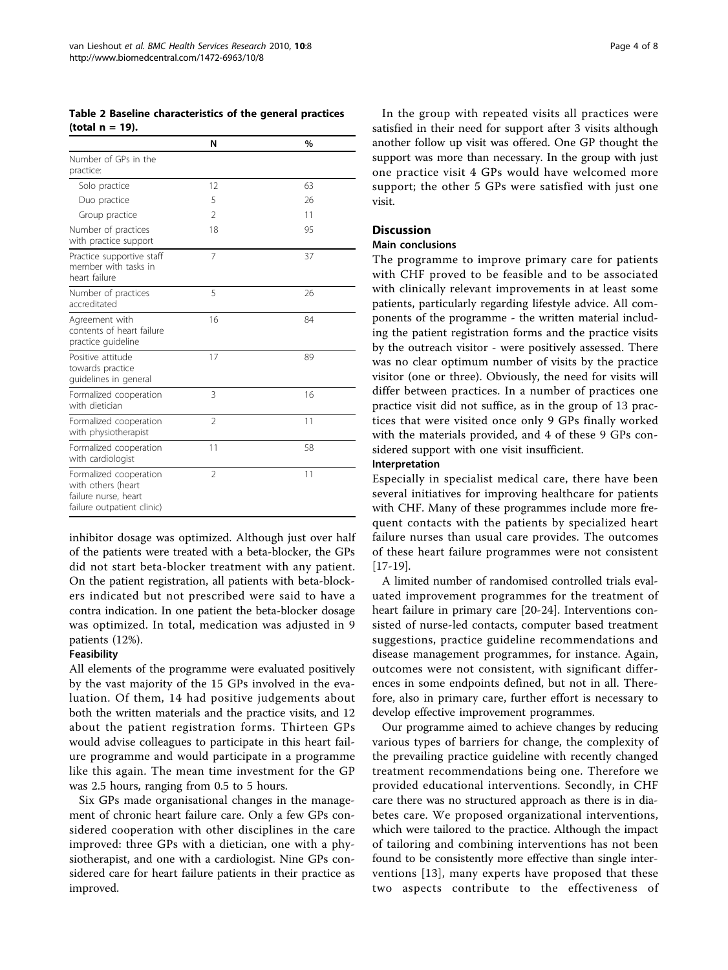<span id="page-3-0"></span>Table 2 Baseline characteristics of the general practices (total  $n = 19$ ).

|                                                                                                    | N              | $\%$ |
|----------------------------------------------------------------------------------------------------|----------------|------|
| Number of GPs in the<br>practice:                                                                  |                |      |
| Solo practice                                                                                      | 12             | 63   |
| Duo practice                                                                                       | 5              | 26   |
| Group practice                                                                                     | $\mathfrak{D}$ | 11   |
| Number of practices<br>with practice support                                                       | 18             | 95   |
| Practice supportive staff<br>member with tasks in<br>heart failure                                 | $\overline{7}$ | 37   |
| Number of practices<br>accreditated                                                                | 5              | 26   |
| Agreement with<br>contents of heart failure<br>practice quideline                                  | 16             | 84   |
| Positive attitude<br>towards practice<br>guidelines in general                                     | 17             | 89   |
| Formalized cooperation<br>with dietician                                                           | 3              | 16   |
| Formalized cooperation<br>with physiotherapist                                                     | $\overline{2}$ | 11   |
| Formalized cooperation<br>with cardiologist                                                        | 11             | 58   |
| Formalized cooperation<br>with others (heart<br>failure nurse, heart<br>failure outpatient clinic) | $\overline{2}$ | 11   |

inhibitor dosage was optimized. Although just over half of the patients were treated with a beta-blocker, the GPs did not start beta-blocker treatment with any patient. On the patient registration, all patients with beta-blockers indicated but not prescribed were said to have a contra indication. In one patient the beta-blocker dosage was optimized. In total, medication was adjusted in 9 patients (12%).

## Feasibility

All elements of the programme were evaluated positively by the vast majority of the 15 GPs involved in the evaluation. Of them, 14 had positive judgements about both the written materials and the practice visits, and 12 about the patient registration forms. Thirteen GPs would advise colleagues to participate in this heart failure programme and would participate in a programme like this again. The mean time investment for the GP was 2.5 hours, ranging from 0.5 to 5 hours.

Six GPs made organisational changes in the management of chronic heart failure care. Only a few GPs considered cooperation with other disciplines in the care improved: three GPs with a dietician, one with a physiotherapist, and one with a cardiologist. Nine GPs considered care for heart failure patients in their practice as improved.

In the group with repeated visits all practices were satisfied in their need for support after 3 visits although another follow up visit was offered. One GP thought the support was more than necessary. In the group with just one practice visit 4 GPs would have welcomed more support; the other 5 GPs were satisfied with just one visit.

## **Discussion**

## Main conclusions

The programme to improve primary care for patients with CHF proved to be feasible and to be associated with clinically relevant improvements in at least some patients, particularly regarding lifestyle advice. All components of the programme - the written material including the patient registration forms and the practice visits by the outreach visitor - were positively assessed. There was no clear optimum number of visits by the practice visitor (one or three). Obviously, the need for visits will differ between practices. In a number of practices one practice visit did not suffice, as in the group of 13 practices that were visited once only 9 GPs finally worked with the materials provided, and 4 of these 9 GPs considered support with one visit insufficient.

## Interpretation

Especially in specialist medical care, there have been several initiatives for improving healthcare for patients with CHF. Many of these programmes include more frequent contacts with the patients by specialized heart failure nurses than usual care provides. The outcomes of these heart failure programmes were not consistent [[17-19\]](#page-6-0).

A limited number of randomised controlled trials evaluated improvement programmes for the treatment of heart failure in primary care [[20](#page-6-0)-[24\]](#page-6-0). Interventions consisted of nurse-led contacts, computer based treatment suggestions, practice guideline recommendations and disease management programmes, for instance. Again, outcomes were not consistent, with significant differences in some endpoints defined, but not in all. Therefore, also in primary care, further effort is necessary to develop effective improvement programmes.

Our programme aimed to achieve changes by reducing various types of barriers for change, the complexity of the prevailing practice guideline with recently changed treatment recommendations being one. Therefore we provided educational interventions. Secondly, in CHF care there was no structured approach as there is in diabetes care. We proposed organizational interventions, which were tailored to the practice. Although the impact of tailoring and combining interventions has not been found to be consistently more effective than single interventions [[13](#page-6-0)], many experts have proposed that these two aspects contribute to the effectiveness of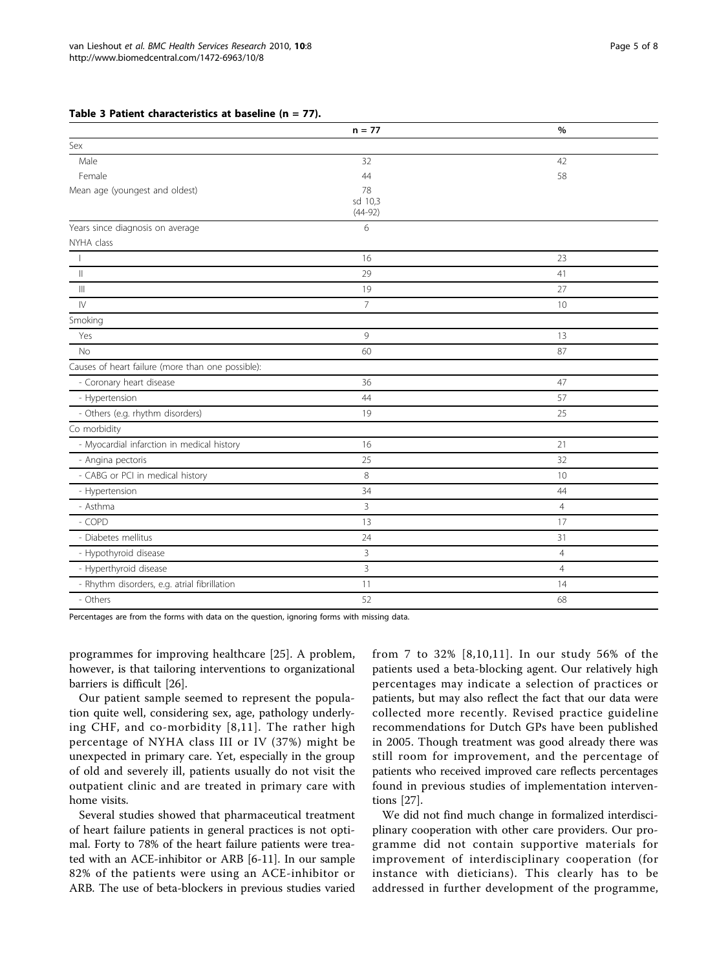#### <span id="page-4-0"></span>Table 3 Patient characteristics at baseline (n = 77).

|                                                   | $n = 77$                   | $\%$           |
|---------------------------------------------------|----------------------------|----------------|
| Sex                                               |                            |                |
| Male                                              | 32                         | 42             |
| Female                                            | 44                         | 58             |
| Mean age (youngest and oldest)                    | 78<br>sd 10,3<br>$(44-92)$ |                |
| Years since diagnosis on average                  | 6                          |                |
| NYHA class                                        |                            |                |
| $\perp$                                           | 16                         | 23             |
| $\, \parallel$                                    | 29                         | 41             |
| $\mathbb{H}$                                      | 19                         | 27             |
| $\mathsf{I}\mathsf{V}$                            | 7                          | 10             |
| Smoking                                           |                            |                |
| Yes                                               | 9                          | 13             |
| <b>No</b>                                         | 60                         | 87             |
| Causes of heart failure (more than one possible): |                            |                |
| - Coronary heart disease                          | 36                         | 47             |
| - Hypertension                                    | 44                         | 57             |
| - Others (e.g. rhythm disorders)                  | 19                         | 25             |
| Co morbidity                                      |                            |                |
| - Myocardial infarction in medical history        | 16                         | 21             |
| - Angina pectoris                                 | 25                         | 32             |
| - CABG or PCI in medical history                  | 8                          | 10             |
| - Hypertension                                    | 34                         | 44             |
| - Asthma                                          | 3                          | $\overline{4}$ |
| - COPD                                            | 13                         | 17             |
| - Diabetes mellitus                               | 24                         | 31             |
| - Hypothyroid disease                             | $\overline{3}$             | $\overline{4}$ |
| - Hyperthyroid disease                            | 3                          | $\overline{4}$ |
| - Rhythm disorders, e.g. atrial fibrillation      | 11                         | 14             |
| - Others                                          | 52                         | 68             |
|                                                   |                            |                |

Percentages are from the forms with data on the question, ignoring forms with missing data.

programmes for improving healthcare [[25\]](#page-6-0). A problem, however, is that tailoring interventions to organizational barriers is difficult [\[26](#page-6-0)].

Our patient sample seemed to represent the population quite well, considering sex, age, pathology underlying CHF, and co-morbidity [[8](#page-6-0),[11\]](#page-6-0). The rather high percentage of NYHA class III or IV (37%) might be unexpected in primary care. Yet, especially in the group of old and severely ill, patients usually do not visit the outpatient clinic and are treated in primary care with home visits.

Several studies showed that pharmaceutical treatment of heart failure patients in general practices is not optimal. Forty to 78% of the heart failure patients were treated with an ACE-inhibitor or ARB [[6-11](#page-6-0)]. In our sample 82% of the patients were using an ACE-inhibitor or ARB. The use of beta-blockers in previous studies varied from 7 to 32% [[8](#page-6-0),[10](#page-6-0),[11\]](#page-6-0). In our study 56% of the patients used a beta-blocking agent. Our relatively high percentages may indicate a selection of practices or patients, but may also reflect the fact that our data were collected more recently. Revised practice guideline recommendations for Dutch GPs have been published in 2005. Though treatment was good already there was still room for improvement, and the percentage of patients who received improved care reflects percentages found in previous studies of implementation interventions [\[27\]](#page-6-0).

We did not find much change in formalized interdisciplinary cooperation with other care providers. Our programme did not contain supportive materials for improvement of interdisciplinary cooperation (for instance with dieticians). This clearly has to be addressed in further development of the programme,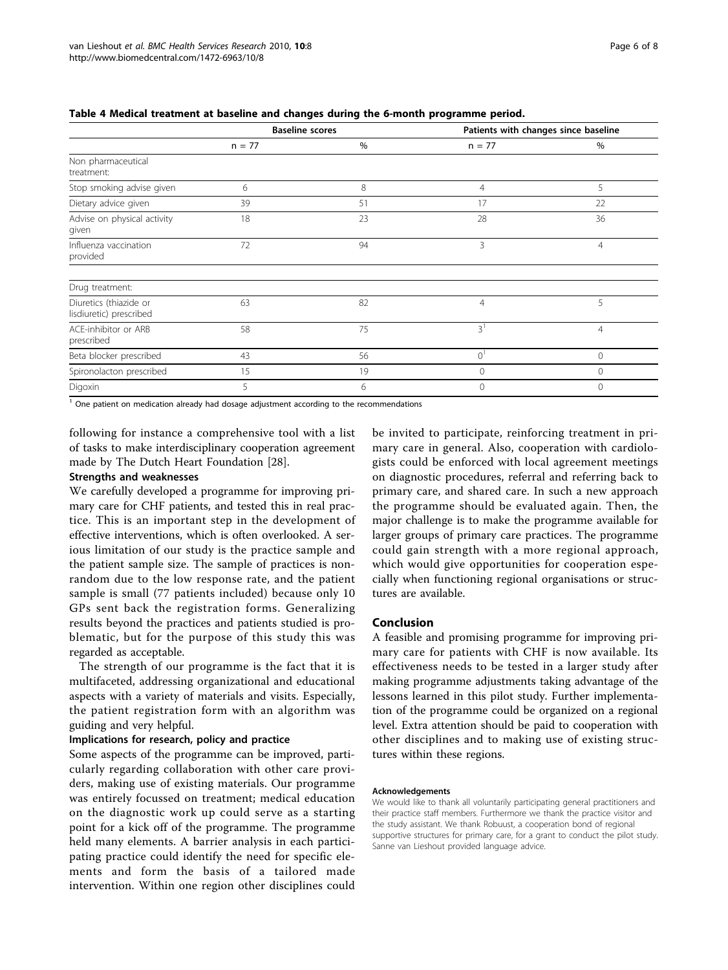| <b>Baseline scores</b> |    | Patients with changes since baseline |                |
|------------------------|----|--------------------------------------|----------------|
| $n = 77$               | %  | $n = 77$                             | %              |
|                        |    |                                      |                |
| 6                      | 8  | $\overline{4}$                       | 5              |
| 39                     | 51 | 17                                   | 22             |
| 18                     | 23 | 28                                   | 36             |
| 72                     | 94 | 3                                    | $\overline{4}$ |
|                        |    |                                      |                |
| 63                     | 82 | $\overline{4}$                       | 5              |
| 58                     | 75 | 3 <sup>1</sup>                       | 4              |
| 43                     | 56 | 0 <sup>1</sup>                       | $\mathbf{0}$   |
| 15                     | 19 | $\mathbf{0}$                         | $\Omega$       |
| 5                      | 6  | $\Omega$                             | $\Omega$       |
|                        |    |                                      |                |

<span id="page-5-0"></span>Table 4 Medical treatment at baseline and changes during the 6-month programme period.

 $1$  One patient on medication already had dosage adjustment according to the recommendations

following for instance a comprehensive tool with a list of tasks to make interdisciplinary cooperation agreement made by The Dutch Heart Foundation [[28\]](#page-7-0).

#### Strengths and weaknesses

We carefully developed a programme for improving primary care for CHF patients, and tested this in real practice. This is an important step in the development of effective interventions, which is often overlooked. A serious limitation of our study is the practice sample and the patient sample size. The sample of practices is nonrandom due to the low response rate, and the patient sample is small (77 patients included) because only 10 GPs sent back the registration forms. Generalizing results beyond the practices and patients studied is problematic, but for the purpose of this study this was regarded as acceptable.

The strength of our programme is the fact that it is multifaceted, addressing organizational and educational aspects with a variety of materials and visits. Especially, the patient registration form with an algorithm was guiding and very helpful.

## Implications for research, policy and practice

Some aspects of the programme can be improved, particularly regarding collaboration with other care providers, making use of existing materials. Our programme was entirely focussed on treatment; medical education on the diagnostic work up could serve as a starting point for a kick off of the programme. The programme held many elements. A barrier analysis in each participating practice could identify the need for specific elements and form the basis of a tailored made intervention. Within one region other disciplines could

be invited to participate, reinforcing treatment in primary care in general. Also, cooperation with cardiologists could be enforced with local agreement meetings on diagnostic procedures, referral and referring back to primary care, and shared care. In such a new approach the programme should be evaluated again. Then, the major challenge is to make the programme available for larger groups of primary care practices. The programme could gain strength with a more regional approach, which would give opportunities for cooperation especially when functioning regional organisations or structures are available.

#### Conclusion

A feasible and promising programme for improving primary care for patients with CHF is now available. Its effectiveness needs to be tested in a larger study after making programme adjustments taking advantage of the lessons learned in this pilot study. Further implementation of the programme could be organized on a regional level. Extra attention should be paid to cooperation with other disciplines and to making use of existing structures within these regions.

#### Acknowledgements

We would like to thank all voluntarily participating general practitioners and their practice staff members. Furthermore we thank the practice visitor and the study assistant. We thank Robuust, a cooperation bond of regional supportive structures for primary care, for a grant to conduct the pilot study. Sanne van Lieshout provided language advice.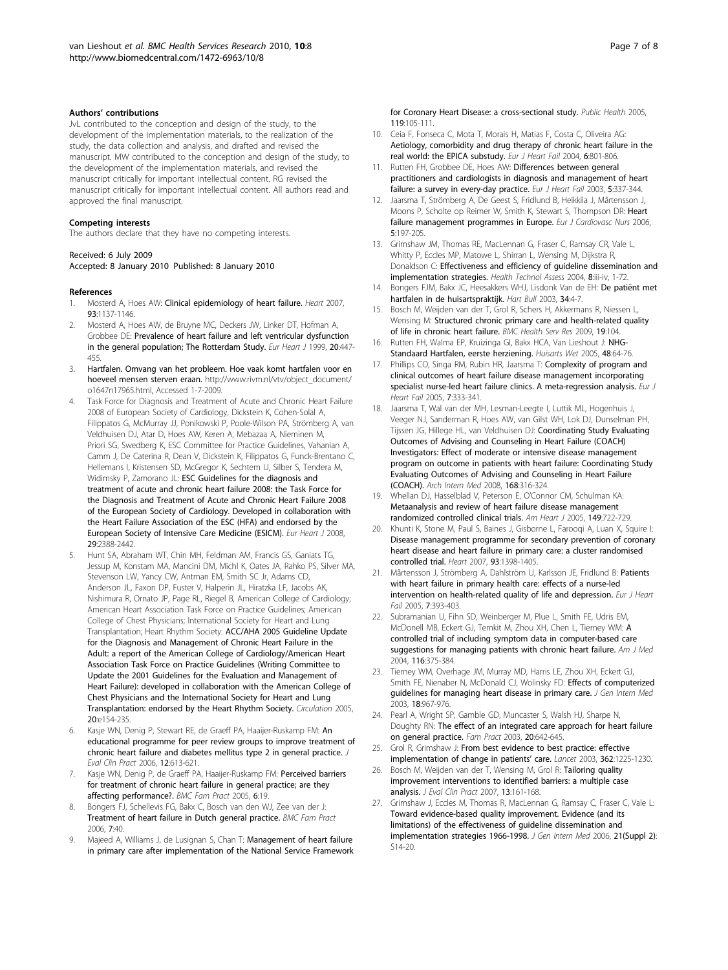#### <span id="page-6-0"></span>Authors' contributions

JvL contributed to the conception and design of the study, to the development of the implementation materials, to the realization of the study, the data collection and analysis, and drafted and revised the manuscript. MW contributed to the conception and design of the study, to the development of the implementation materials, and revised the manuscript critically for important intellectual content. RG revised the manuscript critically for important intellectual content. All authors read and approved the final manuscript.

#### Competing interests

The authors declare that they have no competing interests.

#### Received: 6 July 2009

### Accepted: 8 January 2010 Published: 8 January 2010

#### References

- Mosterd A, Hoes AW: Clinical epidemiology of heart failure. Heart 2007, 93:1137-1146.
- 2. Mosterd A, Hoes AW, de Bruyne MC, Deckers JW, Linker DT, Hofman A, Grobbee DE: Prevalence of heart failure and left ventricular dysfunction in the general population; The Rotterdam Study. Eur Heart J 1999, 20:447-455.
- 3. Hartfalen. Omvang van het probleem. Hoe vaak komt hartfalen voor en hoeveel mensen sterven eraan. http://www.rivm.nl/vtv/object\_document/ o1647n17965.html, Accessed 1-7-2009.
- 4. Task Force for Diagnosis and Treatment of Acute and Chronic Heart Failure 2008 of European Society of Cardiology, Dickstein K, Cohen-Solal A, Filippatos G, McMurray JJ, Ponikowski P, Poole-Wilson PA, Strömberg A, van Veldhuisen DJ, Atar D, Hoes AW, Keren A, Mebazaa A, Nieminen M, Priori SG, Swedberg K, ESC Committee for Practice Guidelines, Vahanian A, Camm J, De Caterina R, Dean V, Dickstein K, Filippatos G, Funck-Brentano C, Hellemans I, Kristensen SD, McGregor K, Sechtem U, Silber S, Tendera M, Widimsky P, Zamorano JL: ESC Guidelines for the diagnosis and treatment of acute and chronic heart failure 2008: the Task Force for the Diagnosis and Treatment of Acute and Chronic Heart Failure 2008 of the European Society of Cardiology. Developed in collaboration with the Heart Failure Association of the ESC (HFA) and endorsed by the European Society of Intensive Care Medicine (ESICM). Eur Heart J 2008, 29:2388-2442.
- 5. Hunt SA, Abraham WT, Chin MH, Feldman AM, Francis GS, Ganiats TG, Jessup M, Konstam MA, Mancini DM, Michl K, Oates JA, Rahko PS, Silver MA, Stevenson LW, Yancy CW, Antman EM, Smith SC Jr, Adams CD, Anderson JL, Faxon DP, Fuster V, Halperin JL, Hiratzka LF, Jacobs AK, Nishimura R, Ornato JP, Page RL, Riegel B, American College of Cardiology; American Heart Association Task Force on Practice Guidelines; American College of Chest Physicians; International Society for Heart and Lung Transplantation; Heart Rhythm Society: ACC/AHA 2005 Guideline Update for the Diagnosis and Management of Chronic Heart Failure in the Adult: a report of the American College of Cardiology/American Heart Association Task Force on Practice Guidelines (Writing Committee to Update the 2001 Guidelines for the Evaluation and Management of Heart Failure): developed in collaboration with the American College of Chest Physicians and the International Society for Heart and Lung Transplantation: endorsed by the Heart Rhythm Society. Circulation 2005, 20:e154-235.
- Kasje WN, Denig P, Stewart RE, de Graeff PA, Haaijer-Ruskamp FM: An educational programme for peer review groups to improve treatment of chronic heart failure and diabetes mellitus type 2 in general practice. J Eval Clin Pract 2006, 12:613-621.
- 7. Kasje WN, Denig P, de Graeff PA, Haaijer-Ruskamp FM: Perceived barriers for treatment of chronic heart failure in general practice; are they affecting performance?. BMC Fam Pract 2005, 6:19.
- 8. Bongers FJ, Schellevis FG, Bakx C, Bosch van den WJ, Zee van der J: Treatment of heart failure in Dutch general practice. BMC Fam Pract 2006, 7:40.
- 9. Majeed A, Williams J, de Lusignan S, Chan T: Management of heart failure in primary care after implementation of the National Service Framework

for Coronary Heart Disease: a cross-sectional study. Public Health 2005, 119:105-111.

- 10. Ceia F, Fonseca C, Mota T, Morais H, Matias F, Costa C, Oliveira AG: Aetiology, comorbidity and drug therapy of chronic heart failure in the real world: the EPICA substudy. Eur J Heart Fail 2004, 6:801-806.
- 11. Rutten FH, Grobbee DE, Hoes AW: Differences between general practitioners and cardiologists in diagnosis and management of heart failure: a survey in every-day practice. Eur J Heart Fail 2003, 5:337-344.
- 12. Jaarsma T, Strömberg A, De Geest S, Fridlund B, Heikkila J, Mårtensson J, Moons P, Scholte op Reimer W, Smith K, Stewart S, Thompson DR: Heart failure management programmes in Europe. Eur J Cardiovasc Nurs 2006, 5:197-205.
- 13. Grimshaw JM, Thomas RE, MacLennan G, Fraser C, Ramsay CR, Vale L, Whitty P, Eccles MP, Matowe L, Shirran L, Wensing M, Dijkstra R, Donaldson C: Effectiveness and efficiency of guideline dissemination and implementation strategies. Health Technol Assess 2004, 8:iii-iv, 1-72.
- 14. Bongers FJM, Bakx JC, Heesakkers WHJ, Lisdonk Van de EH: De patiënt met hartfalen in de huisartspraktijk. Hart Bull 2003, 34:4-7.
- 15. Bosch M, Weijden van der T, Grol R, Schers H, Akkermans R, Niessen L, Wensing M: Structured chronic primary care and health-related quality of life in chronic heart failure. BMC Health Serv Res 2009, 19:104.
- 16. Rutten FH, Walma EP, Kruizinga GI, Bakx HCA, Van Lieshout J: NHG-Standaard Hartfalen, eerste herziening. Huisarts Wet 2005, 48:64-76.
- 17. Phillips CO, Singa RM, Rubin HR, Jaarsma T: Complexity of program and clinical outcomes of heart failure disease management incorporating specialist nurse-led heart failure clinics. A meta-regression analysis. Eur J Heart Fail 2005, 7:333-341.
- 18. Jaarsma T, Wal van der MH, Lesman-Leegte I, Luttik ML, Hogenhuis J, Veeger NJ, Sanderman R, Hoes AW, van Gilst WH, Lok DJ, Dunselman PH, Tijssen JG, Hillege HL, van Veldhuisen DJ: Coordinating Study Evaluating Outcomes of Advising and Counseling in Heart Failure (COACH) Investigators: Effect of moderate or intensive disease management program on outcome in patients with heart failure: Coordinating Study Evaluating Outcomes of Advising and Counseling in Heart Failure (COACH). Arch Intern Med 2008, 168:316-324.
- 19. Whellan DJ, Hasselblad V, Peterson E, O'Connor CM, Schulman KA: Metaanalysis and review of heart failure disease management randomized controlled clinical trials. Am Heart J 2005, 149:722-729.
- 20. Khunti K, Stone M, Paul S, Baines J, Gisborne L, Farooqi A, Luan X, Squire I: Disease management programme for secondary prevention of coronary heart disease and heart failure in primary care: a cluster randomised controlled trial. Heart 2007, 93:1398-1405.
- 21. Mårtensson J, Strömberg A, Dahlström U, Karlsson JE, Fridlund B: Patients with heart failure in primary health care: effects of a nurse-led intervention on health-related quality of life and depression. Eur J Heart Fail 2005, 7:393-403.
- 22. Subramanian U, Fihn SD, Weinberger M, Plue L, Smith FE, Udris EM, McDonell MB, Eckert GJ, Temkit M, Zhou XH, Chen L, Tierney WM: A controlled trial of including symptom data in computer-based care suggestions for managing patients with chronic heart failure. Am J Med 2004, 116:375-384.
- 23. Tierney WM, Overhage JM, Murray MD, Harris LE, Zhou XH, Eckert GJ, Smith FE, Nienaber N, McDonald CJ, Wolinsky FD: Effects of computerized guidelines for managing heart disease in primary care. J Gen Intern Med 2003, 18:967-976.
- 24. Pearl A, Wright SP, Gamble GD, Muncaster S, Walsh HJ, Sharpe N, Doughty RN: The effect of an integrated care approach for heart failure on general practice. Fam Pract 2003, 20:642-645.
- 25. Grol R, Grimshaw J: From best evidence to best practice: effective implementation of change in patients' care. Lancet 2003, 362:1225-1230.
- 26. Bosch M, Weijden van der T, Wensing M, Grol R: Tailoring quality improvement interventions to identified barriers: a multiple case analysis. J Eval Clin Pract 2007, 13:161-168.
- 27. Grimshaw J, Eccles M, Thomas R, MacLennan G, Ramsay C, Fraser C, Vale L: Toward evidence-based quality improvement. Evidence (and its limitations) of the effectiveness of guideline dissemination and implementation strategies 1966-1998. J Gen Intern Med 2006, 21(Suppl 2): S14-20.